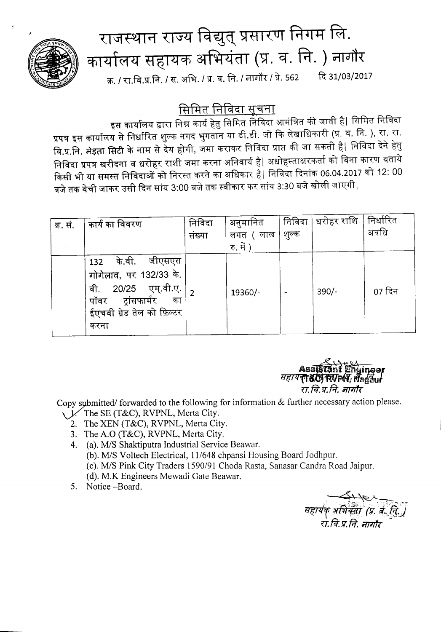

## राजस्थान राज्य विद्युत् प्रसारण निगम लि. कार्यालय सहायक अभियंता (प्र. व. नि. ) नागौर क्र. / रा.वि.प्र.नि. / स. अभि. / प्र. व. नि. / नागौर / प्रे. 562 दि 31/03/2017

सिमित <u>निविदा सूचना</u>

इस कार्यालय द्वारा निम्न कार्य हेतु सिमित निविदा आमंत्रित की जाती है| सिमित निविदा प्रपत्र इस कार्यालय से निर्धारित शुल्क नगद भुगतान या डी.डी. जो कि लेखाधिकारी (प्र. व. नि. ), रा. रा. वि.प्र.नि. मेइता सिटी के नाम से देय होगी, जमा कराकर निविदा प्राप्त की जा सकती है| निविदा देने हेतु निविदा प्रपत्र खरीदना व धरोहर राशी जमा करना अनिवार्य है| अधोहस्ताक्षरकर्ता को बिना कारण बताये किसी भी या समस्त निविदाओं को निरस्त करने का अधिकार है। निविदा दिनांक 06.04.2017 को 12: 00 बजे तक बेची जाकर उसी दिन सांय 3:00 बजे तक स्वीकार कर सांय 3:30 बजे खोली जाएगी|

| क्र. सं. | कार्य का विवरण                                                                                                                            | निविदा<br>संख्या | अनुमानित<br>लगत ( लाख | निविदा<br>शुल्क | धरोहर राशि | निर्धारित<br>अवधि |
|----------|-------------------------------------------------------------------------------------------------------------------------------------------|------------------|-----------------------|-----------------|------------|-------------------|
|          |                                                                                                                                           |                  | रु. में )             |                 |            |                   |
|          | के.वी. जीएसएस<br>132<br>गोगेलाव, पर 132/33 के.<br>20/25 एम्.वी.ए.<br>वी.<br>पॉवर ट्रांसफार्मर<br>का<br>ईएचवी ग्रेड तेल को फ़िल्टर<br>करना |                  | 19360/-               |                 | $390/-$    | 07 दिन            |



Copy submitted/forwarded to the following for information  $&$  further necessary action please.

- V. The SE (T&C), RVPNL, Merta City.
	- 2. The XEN (T&C), RVPNL, Merta City.
	- 3. The A.O (T&C), RVPNL, Merta City.
	- 4. (a). M/S Shaktiputra Industrial Service Beawar. (b). M/S Voltech Electrical, 11/648 chpansi Housing Board Jodhpur. (c). M/S Pink City Traders 1590/91 Choda Rasta, Sanasar Candra Road Jaipur. (d). M.K Engineers Mewadi Gate Beawar.
	- 5. Notice -Board.

सहायक् अभियंता (प्र. व. ति.)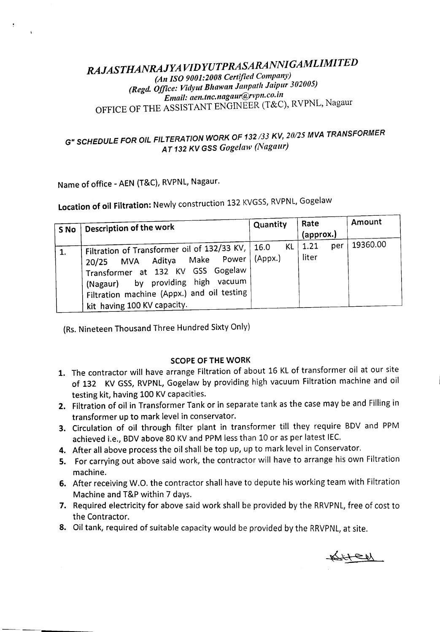## *RAJASTHANRAJYA VIDYUTPRASARANNIGAMLIMITED (An ISO 9001:2008 Certified Company) (Regd. Office: Vidyut Bhawan Janpath Jaipur 302005) Email: aen.tnc.nagaur@rvpn.co.lIl* OFFICE OF THE ASSISTANT ENGINEER (T&C), RVPNL, Nagaur

## G" *SCHEDULE FOR OIL FILTERATION WORK* OF *132133 KV, 20125MVA TRANSFORMER AT* 132 *KV GSS Goge/aw (Nagaur)*

Name of office - AEN (T&C), RVPNL, Nagaur.

Location of oil Filtration: Newly construction 132 KVGSS, RVPNL, Gogelaw

| S No | Description of the work                                                                                                                                                                                                                 | Quantity              | Rate<br>(approx.)    | Amount   |
|------|-----------------------------------------------------------------------------------------------------------------------------------------------------------------------------------------------------------------------------------------|-----------------------|----------------------|----------|
|      | Filtration of Transformer oil of 132/33 KV,<br>Power<br>20/25 MVA Aditya Make<br>Transformer at 132 KV GSS Gogelaw<br>by providing high vacuum<br>(Nagaur)<br>Filtration machine (Appx.) and oil testing<br>kit having 100 KV capacity. | KL<br>16.0<br>(Appx.) | 1.21<br>per<br>liter | 19360.00 |

(Rs.Nineteen Thousand Three Hundred Sixty Only)

## SCOPE OF THE WORK

- 1. The contractor will have arrange Filtration of about 16 KL of transformer oil at our site of 132 KV GSS, RVPNL, Gogelaw by providing high vacuum Filtration machine and oil testing kit, having 100 KV capacities.
- 2. Filtration of oil in Transformer Tank or in separate tank as the case may be and Filling in transformer up to mark level in conservator.
- 3. Circulation of oil through filter plant in transformer till they require BDV and PPM achieved i.e., BDV above 80 KV and PPM less than 10 or as per latest IEC.
- 4. After all above process the oil shall be top up, up to mark level in Conservator.
- 5. For carrying out above said work, the contractor will have to arrange his own Filtration machine.
- 6. After receiving W.O. the contractor shall have to depute his working team with Filtration Machine and T&P within 7 days.
- 7. Required electricity for above said work shall be provided by the RRVPNL, free of cost to the Contractor.
- 8. Oil tank, required of suitable capacity would be provided by the RRVPNL, at site.